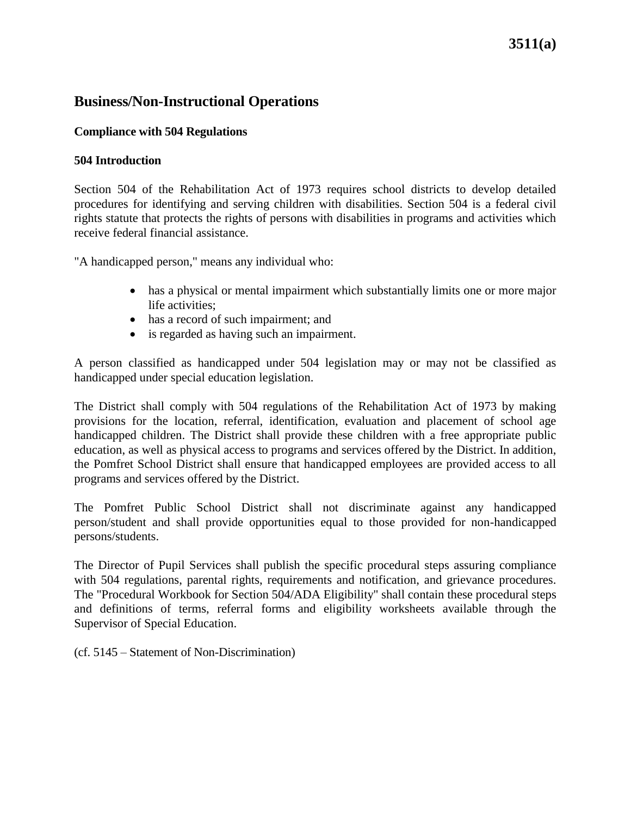# **3511(a)**

### **Business/Non-Instructional Operations**

#### **Compliance with 504 Regulations**

#### **504 Introduction**

Section 504 of the Rehabilitation Act of 1973 requires school districts to develop detailed procedures for identifying and serving children with disabilities. Section 504 is a federal civil rights statute that protects the rights of persons with disabilities in programs and activities which receive federal financial assistance.

"A handicapped person," means any individual who:

- has a physical or mental impairment which substantially limits one or more major life activities;
- has a record of such impairment; and
- is regarded as having such an impairment.

A person classified as handicapped under 504 legislation may or may not be classified as handicapped under special education legislation.

The District shall comply with 504 regulations of the Rehabilitation Act of 1973 by making provisions for the location, referral, identification, evaluation and placement of school age handicapped children. The District shall provide these children with a free appropriate public education, as well as physical access to programs and services offered by the District. In addition, the Pomfret School District shall ensure that handicapped employees are provided access to all programs and services offered by the District.

The Pomfret Public School District shall not discriminate against any handicapped person/student and shall provide opportunities equal to those provided for non-handicapped persons/students.

The Director of Pupil Services shall publish the specific procedural steps assuring compliance with 504 regulations, parental rights, requirements and notification, and grievance procedures. The "Procedural Workbook for Section 504/ADA Eligibility" shall contain these procedural steps and definitions of terms, referral forms and eligibility worksheets available through the Supervisor of Special Education.

(cf. 5145 – Statement of Non-Discrimination)